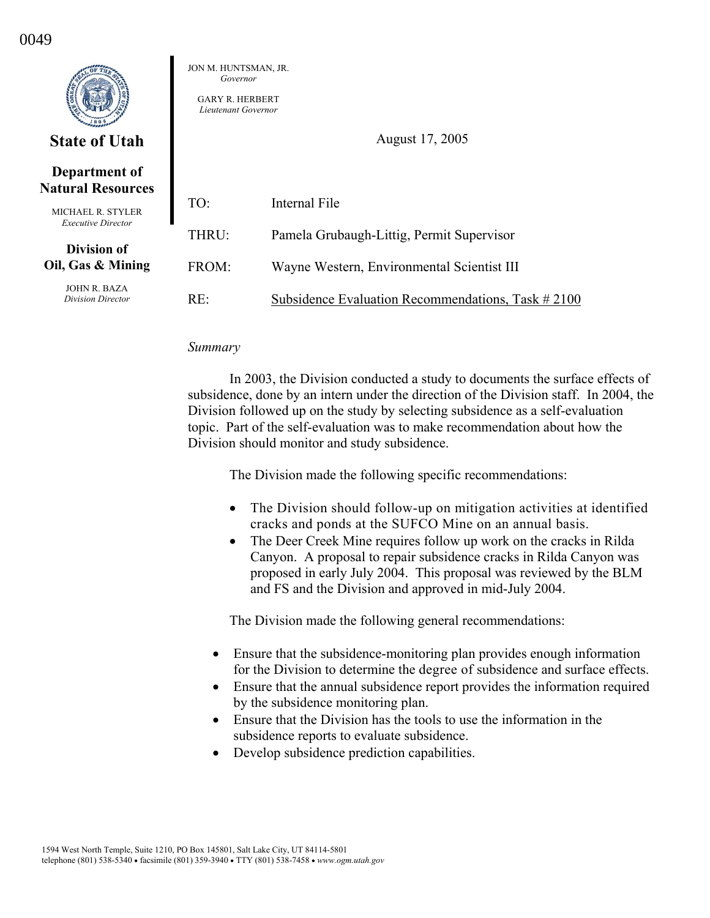|                                                | JON M. HUNTSMAN, JR.<br>Governor<br><b>GARY R. HERBERT</b><br>Lieutenant Governor |                                                   |
|------------------------------------------------|-----------------------------------------------------------------------------------|---------------------------------------------------|
| <b>State of Utah</b>                           | August 17, 2005                                                                   |                                                   |
| Department of<br><b>Natural Resources</b>      |                                                                                   |                                                   |
| MICHAEL R. STYLER<br><b>Executive Director</b> | TO:                                                                               | Internal File                                     |
| Division of                                    | THRU:                                                                             | Pamela Grubaugh-Littig, Permit Supervisor         |
| Oil, Gas & Mining                              | FROM:                                                                             | Wayne Western, Environmental Scientist III        |
| <b>JOHN R. BAZA</b><br>Division Director       | RE:                                                                               | Subsidence Evaluation Recommendations, Task #2100 |

#### *Summary*

 In 2003, the Division conducted a study to documents the surface effects of subsidence, done by an intern under the direction of the Division staff. In 2004, the Division followed up on the study by selecting subsidence as a self-evaluation topic. Part of the self-evaluation was to make recommendation about how the Division should monitor and study subsidence.

The Division made the following specific recommendations:

- The Division should follow-up on mitigation activities at identified cracks and ponds at the SUFCO Mine on an annual basis.
- The Deer Creek Mine requires follow up work on the cracks in Rilda Canyon. A proposal to repair subsidence cracks in Rilda Canyon was proposed in early July 2004. This proposal was reviewed by the BLM and FS and the Division and approved in mid-July 2004.

The Division made the following general recommendations:

- Ensure that the subsidence-monitoring plan provides enough information for the Division to determine the degree of subsidence and surface effects.
- Ensure that the annual subsidence report provides the information required by the subsidence monitoring plan.
- Ensure that the Division has the tools to use the information in the subsidence reports to evaluate subsidence.
- Develop subsidence prediction capabilities.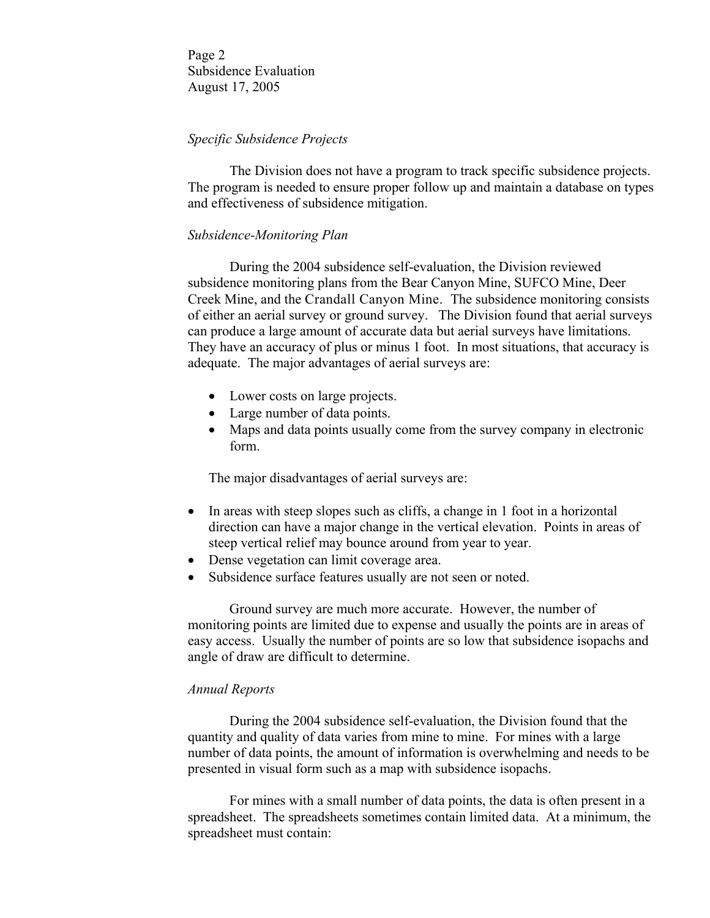Page 2 Subsidence Evaluation August 17, 2005

# *Specific Subsidence Projects*

 The Division does not have a program to track specific subsidence projects. The program is needed to ensure proper follow up and maintain a database on types and effectiveness of subsidence mitigation.

### *Subsidence-Monitoring Plan*

 During the 2004 subsidence self-evaluation, the Division reviewed subsidence monitoring plans from the Bear Canyon Mine, SUFCO Mine, Deer Creek Mine, and the Crandall Canyon Mine. The subsidence monitoring consists of either an aerial survey or ground survey. The Division found that aerial surveys can produce a large amount of accurate data but aerial surveys have limitations. They have an accuracy of plus or minus 1 foot. In most situations, that accuracy is adequate. The major advantages of aerial surveys are:

- Lower costs on large projects.
- Large number of data points.
- Maps and data points usually come from the survey company in electronic form.

The major disadvantages of aerial surveys are:

- In areas with steep slopes such as cliffs, a change in 1 foot in a horizontal direction can have a major change in the vertical elevation. Points in areas of steep vertical relief may bounce around from year to year.
- Dense vegetation can limit coverage area.
- Subsidence surface features usually are not seen or noted.

 Ground survey are much more accurate. However, the number of monitoring points are limited due to expense and usually the points are in areas of easy access. Usually the number of points are so low that subsidence isopachs and angle of draw are difficult to determine.

### *Annual Reports*

 During the 2004 subsidence self-evaluation, the Division found that the quantity and quality of data varies from mine to mine. For mines with a large number of data points, the amount of information is overwhelming and needs to be presented in visual form such as a map with subsidence isopachs.

 For mines with a small number of data points, the data is often present in a spreadsheet. The spreadsheets sometimes contain limited data. At a minimum, the spreadsheet must contain: